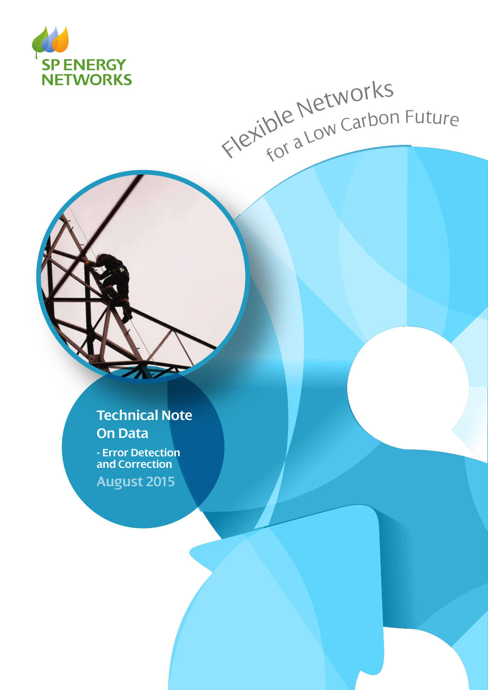

# Flexible Networks<br>Flexible Networks

# **Technical Note On Data**

**- Error Detection and Correction**

**August 2015**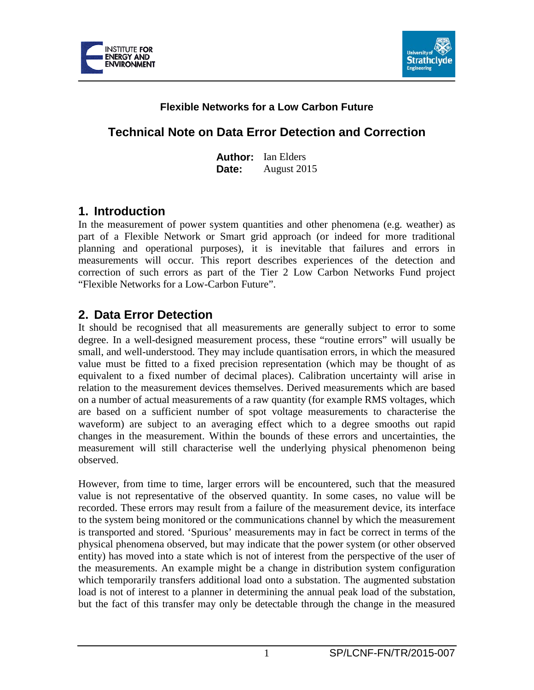



### **Flexible Networks for a Low Carbon Future**

## **Technical Note on Data Error Detection and Correction**

**Author:** Ian Elders **Date:** August 2015

### **1. Introduction**

In the measurement of power system quantities and other phenomena (e.g. weather) as part of a Flexible Network or Smart grid approach (or indeed for more traditional planning and operational purposes), it is inevitable that failures and errors in measurements will occur. This report describes experiences of the detection and correction of such errors as part of the Tier 2 Low Carbon Networks Fund project "Flexible Networks for a Low-Carbon Future".

### **2. Data Error Detection**

It should be recognised that all measurements are generally subject to error to some degree. In a well-designed measurement process, these "routine errors" will usually be small, and well-understood. They may include quantisation errors, in which the measured value must be fitted to a fixed precision representation (which may be thought of as equivalent to a fixed number of decimal places). Calibration uncertainty will arise in relation to the measurement devices themselves. Derived measurements which are based on a number of actual measurements of a raw quantity (for example RMS voltages, which are based on a sufficient number of spot voltage measurements to characterise the waveform) are subject to an averaging effect which to a degree smooths out rapid changes in the measurement. Within the bounds of these errors and uncertainties, the measurement will still characterise well the underlying physical phenomenon being observed.

However, from time to time, larger errors will be encountered, such that the measured value is not representative of the observed quantity. In some cases, no value will be recorded. These errors may result from a failure of the measurement device, its interface to the system being monitored or the communications channel by which the measurement is transported and stored. 'Spurious' measurements may in fact be correct in terms of the physical phenomena observed, but may indicate that the power system (or other observed entity) has moved into a state which is not of interest from the perspective of the user of the measurements. An example might be a change in distribution system configuration which temporarily transfers additional load onto a substation. The augmented substation load is not of interest to a planner in determining the annual peak load of the substation, but the fact of this transfer may only be detectable through the change in the measured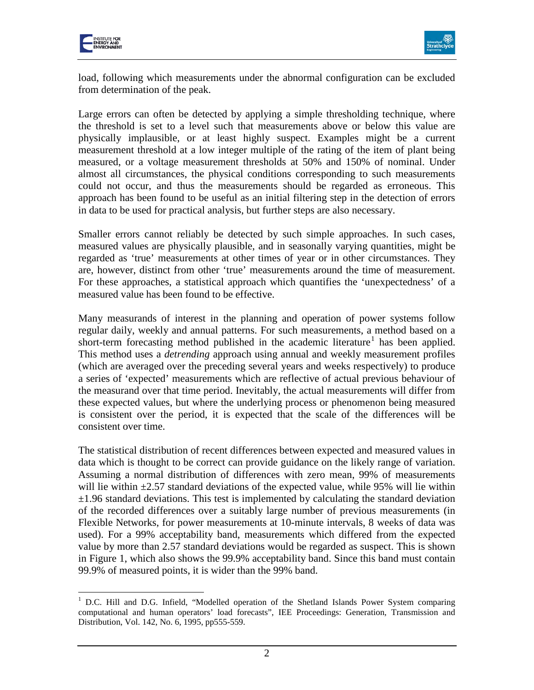



load, following which measurements under the abnormal configuration can be excluded from determination of the peak.

Large errors can often be detected by applying a simple thresholding technique, where the threshold is set to a level such that measurements above or below this value are physically implausible, or at least highly suspect. Examples might be a current measurement threshold at a low integer multiple of the rating of the item of plant being measured, or a voltage measurement thresholds at 50% and 150% of nominal. Under almost all circumstances, the physical conditions corresponding to such measurements could not occur, and thus the measurements should be regarded as erroneous. This approach has been found to be useful as an initial filtering step in the detection of errors in data to be used for practical analysis, but further steps are also necessary.

Smaller errors cannot reliably be detected by such simple approaches. In such cases, measured values are physically plausible, and in seasonally varying quantities, might be regarded as 'true' measurements at other times of year or in other circumstances. They are, however, distinct from other 'true' measurements around the time of measurement. For these approaches, a statistical approach which quantifies the 'unexpectedness' of a measured value has been found to be effective.

Many measurands of interest in the planning and operation of power systems follow regular daily, weekly and annual patterns. For such measurements, a method based on a short-term forecasting method published in the academic literature<sup>[1](#page-2-0)</sup> has been applied. This method uses a *detrending* approach using annual and weekly measurement profiles (which are averaged over the preceding several years and weeks respectively) to produce a series of 'expected' measurements which are reflective of actual previous behaviour of the measurand over that time period. Inevitably, the actual measurements will differ from these expected values, but where the underlying process or phenomenon being measured is consistent over the period, it is expected that the scale of the differences will be consistent over time.

The statistical distribution of recent differences between expected and measured values in data which is thought to be correct can provide guidance on the likely range of variation. Assuming a normal distribution of differences with zero mean, 99% of measurements will lie within  $\pm 2.57$  standard deviations of the expected value, while 95% will lie within  $\pm$ 1.96 standard deviations. This test is implemented by calculating the standard deviation of the recorded differences over a suitably large number of previous measurements (in Flexible Networks, for power measurements at 10-minute intervals, 8 weeks of data was used). For a 99% acceptability band, measurements which differed from the expected value by more than 2.57 standard deviations would be regarded as suspect. This is shown in Figure 1, which also shows the 99.9% acceptability band. Since this band must contain 99.9% of measured points, it is wider than the 99% band.

<span id="page-2-0"></span><sup>&</sup>lt;sup>1</sup> D.C. Hill and D.G. Infield, "Modelled operation of the Shetland Islands Power System comparing computational and human operators' load forecasts", IEE Proceedings: Generation, Transmission and Distribution, Vol. 142, No. 6, 1995, pp555-559.  $\overline{a}$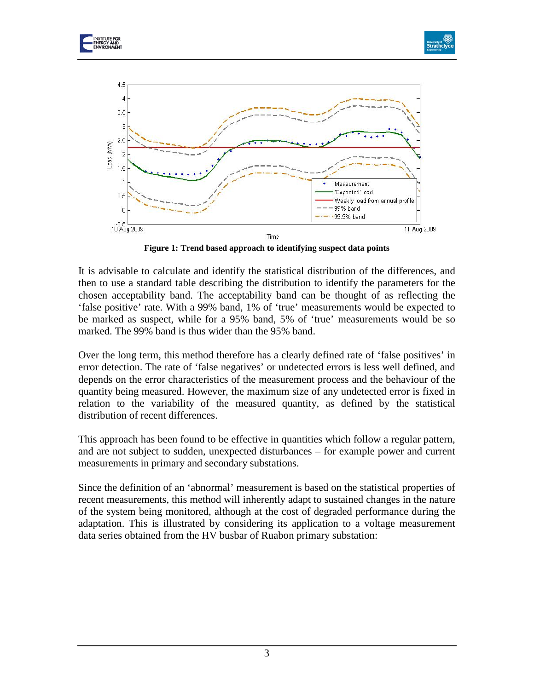





**Figure 1: Trend based approach to identifying suspect data points**

It is advisable to calculate and identify the statistical distribution of the differences, and then to use a standard table describing the distribution to identify the parameters for the chosen acceptability band. The acceptability band can be thought of as reflecting the 'false positive' rate. With a 99% band, 1% of 'true' measurements would be expected to be marked as suspect, while for a 95% band, 5% of 'true' measurements would be so marked. The 99% band is thus wider than the 95% band.

Over the long term, this method therefore has a clearly defined rate of 'false positives' in error detection. The rate of 'false negatives' or undetected errors is less well defined, and depends on the error characteristics of the measurement process and the behaviour of the quantity being measured. However, the maximum size of any undetected error is fixed in relation to the variability of the measured quantity, as defined by the statistical distribution of recent differences.

This approach has been found to be effective in quantities which follow a regular pattern, and are not subject to sudden, unexpected disturbances – for example power and current measurements in primary and secondary substations.

Since the definition of an 'abnormal' measurement is based on the statistical properties of recent measurements, this method will inherently adapt to sustained changes in the nature of the system being monitored, although at the cost of degraded performance during the adaptation. This is illustrated by considering its application to a voltage measurement data series obtained from the HV busbar of Ruabon primary substation: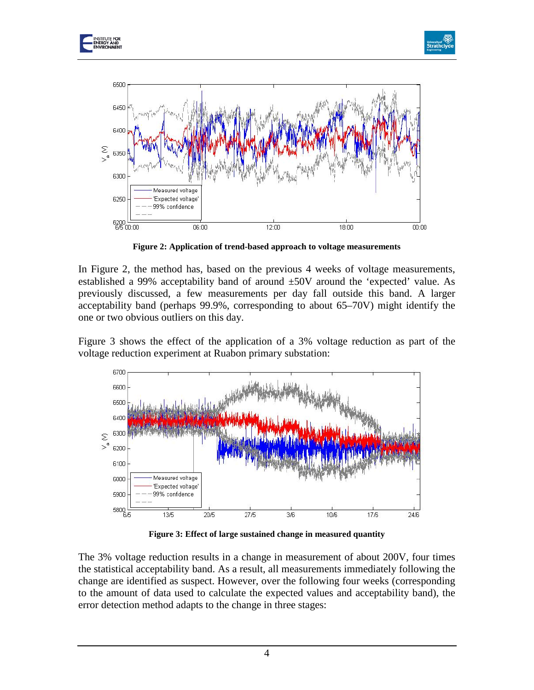





**Figure 2: Application of trend-based approach to voltage measurements**

In Figure 2, the method has, based on the previous 4 weeks of voltage measurements, established a 99% acceptability band of around  $\pm 50V$  around the 'expected' value. As previously discussed, a few measurements per day fall outside this band. A larger acceptability band (perhaps 99.9%, corresponding to about 65–70V) might identify the one or two obvious outliers on this day.

Figure 3 shows the effect of the application of a 3% voltage reduction as part of the voltage reduction experiment at Ruabon primary substation:



**Figure 3: Effect of large sustained change in measured quantity**

The 3% voltage reduction results in a change in measurement of about 200V, four times the statistical acceptability band. As a result, all measurements immediately following the change are identified as suspect. However, over the following four weeks (corresponding to the amount of data used to calculate the expected values and acceptability band), the error detection method adapts to the change in three stages: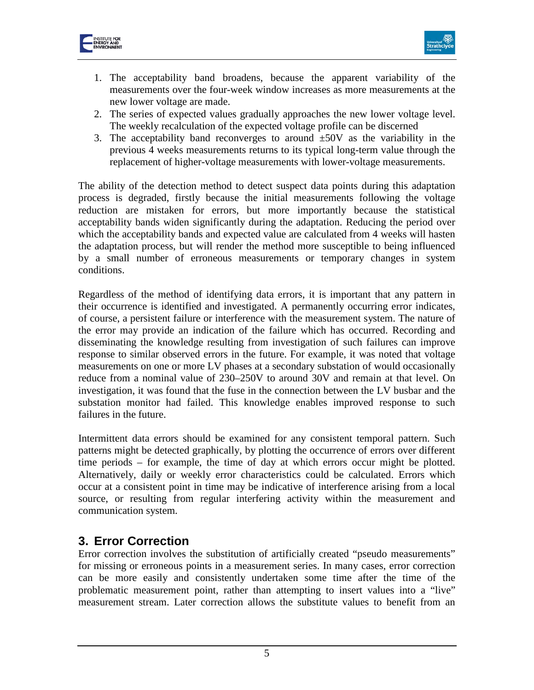



- 1. The acceptability band broadens, because the apparent variability of the measurements over the four-week window increases as more measurements at the new lower voltage are made.
- 2. The series of expected values gradually approaches the new lower voltage level. The weekly recalculation of the expected voltage profile can be discerned
- 3. The acceptability band reconverges to around  $\pm 50V$  as the variability in the previous 4 weeks measurements returns to its typical long-term value through the replacement of higher-voltage measurements with lower-voltage measurements.

The ability of the detection method to detect suspect data points during this adaptation process is degraded, firstly because the initial measurements following the voltage reduction are mistaken for errors, but more importantly because the statistical acceptability bands widen significantly during the adaptation. Reducing the period over which the acceptability bands and expected value are calculated from 4 weeks will hasten the adaptation process, but will render the method more susceptible to being influenced by a small number of erroneous measurements or temporary changes in system conditions.

Regardless of the method of identifying data errors, it is important that any pattern in their occurrence is identified and investigated. A permanently occurring error indicates, of course, a persistent failure or interference with the measurement system. The nature of the error may provide an indication of the failure which has occurred. Recording and disseminating the knowledge resulting from investigation of such failures can improve response to similar observed errors in the future. For example, it was noted that voltage measurements on one or more LV phases at a secondary substation of would occasionally reduce from a nominal value of 230–250V to around 30V and remain at that level. On investigation, it was found that the fuse in the connection between the LV busbar and the substation monitor had failed. This knowledge enables improved response to such failures in the future.

Intermittent data errors should be examined for any consistent temporal pattern. Such patterns might be detected graphically, by plotting the occurrence of errors over different time periods – for example, the time of day at which errors occur might be plotted. Alternatively, daily or weekly error characteristics could be calculated. Errors which occur at a consistent point in time may be indicative of interference arising from a local source, or resulting from regular interfering activity within the measurement and communication system.

## **3. Error Correction**

Error correction involves the substitution of artificially created "pseudo measurements" for missing or erroneous points in a measurement series. In many cases, error correction can be more easily and consistently undertaken some time after the time of the problematic measurement point, rather than attempting to insert values into a "live" measurement stream. Later correction allows the substitute values to benefit from an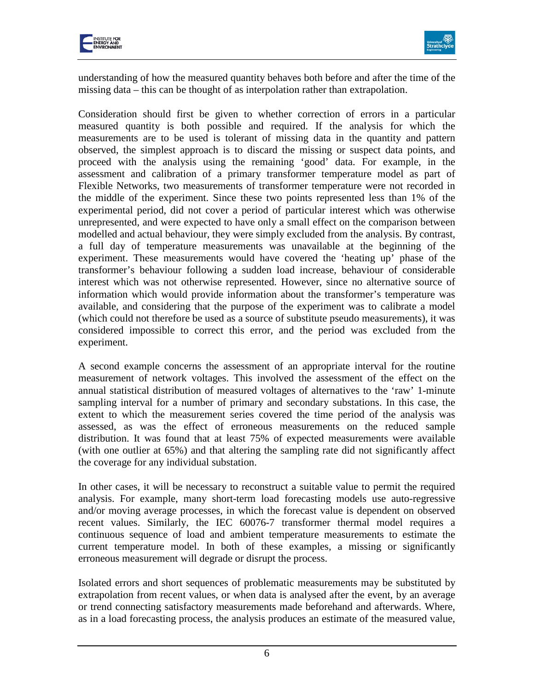



understanding of how the measured quantity behaves both before and after the time of the missing data – this can be thought of as interpolation rather than extrapolation.

Consideration should first be given to whether correction of errors in a particular measured quantity is both possible and required. If the analysis for which the measurements are to be used is tolerant of missing data in the quantity and pattern observed, the simplest approach is to discard the missing or suspect data points, and proceed with the analysis using the remaining 'good' data. For example, in the assessment and calibration of a primary transformer temperature model as part of Flexible Networks, two measurements of transformer temperature were not recorded in the middle of the experiment. Since these two points represented less than 1% of the experimental period, did not cover a period of particular interest which was otherwise unrepresented, and were expected to have only a small effect on the comparison between modelled and actual behaviour, they were simply excluded from the analysis. By contrast, a full day of temperature measurements was unavailable at the beginning of the experiment. These measurements would have covered the 'heating up' phase of the transformer's behaviour following a sudden load increase, behaviour of considerable interest which was not otherwise represented. However, since no alternative source of information which would provide information about the transformer's temperature was available, and considering that the purpose of the experiment was to calibrate a model (which could not therefore be used as a source of substitute pseudo measurements), it was considered impossible to correct this error, and the period was excluded from the experiment.

A second example concerns the assessment of an appropriate interval for the routine measurement of network voltages. This involved the assessment of the effect on the annual statistical distribution of measured voltages of alternatives to the 'raw' 1-minute sampling interval for a number of primary and secondary substations. In this case, the extent to which the measurement series covered the time period of the analysis was assessed, as was the effect of erroneous measurements on the reduced sample distribution. It was found that at least 75% of expected measurements were available (with one outlier at 65%) and that altering the sampling rate did not significantly affect the coverage for any individual substation.

In other cases, it will be necessary to reconstruct a suitable value to permit the required analysis. For example, many short-term load forecasting models use auto-regressive and/or moving average processes, in which the forecast value is dependent on observed recent values. Similarly, the IEC 60076-7 transformer thermal model requires a continuous sequence of load and ambient temperature measurements to estimate the current temperature model. In both of these examples, a missing or significantly erroneous measurement will degrade or disrupt the process.

Isolated errors and short sequences of problematic measurements may be substituted by extrapolation from recent values, or when data is analysed after the event, by an average or trend connecting satisfactory measurements made beforehand and afterwards. Where, as in a load forecasting process, the analysis produces an estimate of the measured value,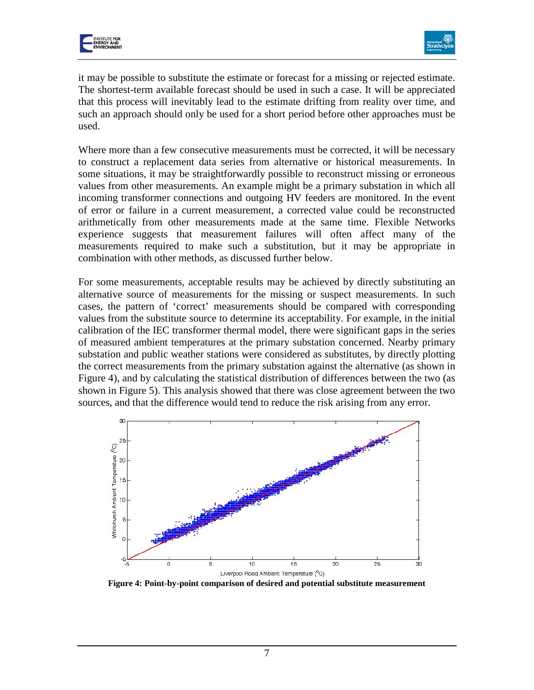



it may be possible to substitute the estimate or forecast for a missing or rejected estimate. The shortest-term available forecast should be used in such a case. It will be appreciated that this process will inevitably lead to the estimate drifting from reality over time, and such an approach should only be used for a short period before other approaches must be used.

Where more than a few consecutive measurements must be corrected, it will be necessary to construct a replacement data series from alternative or historical measurements. In some situations, it may be straightforwardly possible to reconstruct missing or erroneous values from other measurements. An example might be a primary substation in which all incoming transformer connections and outgoing HV feeders are monitored. In the event of error or failure in a current measurement, a corrected value could be reconstructed arithmetically from other measurements made at the same time. Flexible Networks experience suggests that measurement failures will often affect many of the measurements required to make such a substitution, but it may be appropriate in combination with other methods, as discussed further below.

For some measurements, acceptable results may be achieved by directly substituting an alternative source of measurements for the missing or suspect measurements. In such cases, the pattern of 'correct' measurements should be compared with corresponding values from the substitute source to determine its acceptability. For example, in the initial calibration of the IEC transformer thermal model, there were significant gaps in the series of measured ambient temperatures at the primary substation concerned. Nearby primary substation and public weather stations were considered as substitutes, by directly plotting the correct measurements from the primary substation against the alternative (as shown in Figure 4), and by calculating the statistical distribution of differences between the two (as shown in Figure 5). This analysis showed that there was close agreement between the two sources, and that the difference would tend to reduce the risk arising from any error.



**Figure 4: Point-by-point comparison of desired and potential substitute measurement**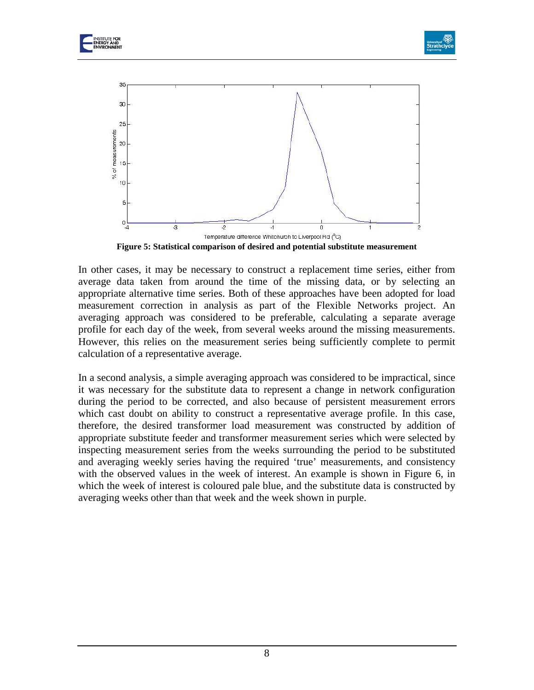

**Figure 5: Statistical comparison of desired and potential substitute measurement**

In other cases, it may be necessary to construct a replacement time series, either from average data taken from around the time of the missing data, or by selecting an appropriate alternative time series. Both of these approaches have been adopted for load measurement correction in analysis as part of the Flexible Networks project. An averaging approach was considered to be preferable, calculating a separate average profile for each day of the week, from several weeks around the missing measurements. However, this relies on the measurement series being sufficiently complete to permit calculation of a representative average.

In a second analysis, a simple averaging approach was considered to be impractical, since it was necessary for the substitute data to represent a change in network configuration during the period to be corrected, and also because of persistent measurement errors which cast doubt on ability to construct a representative average profile. In this case, therefore, the desired transformer load measurement was constructed by addition of appropriate substitute feeder and transformer measurement series which were selected by inspecting measurement series from the weeks surrounding the period to be substituted and averaging weekly series having the required 'true' measurements, and consistency with the observed values in the week of interest. An example is shown in Figure 6, in which the week of interest is coloured pale blue, and the substitute data is constructed by averaging weeks other than that week and the week shown in purple.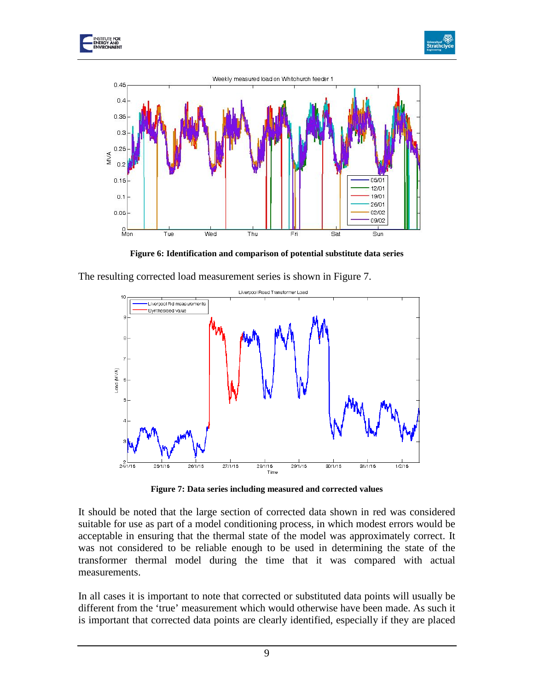





**Figure 6: Identification and comparison of potential substitute data series**

The resulting corrected load measurement series is shown in Figure 7.



**Figure 7: Data series including measured and corrected values**

It should be noted that the large section of corrected data shown in red was considered suitable for use as part of a model conditioning process, in which modest errors would be acceptable in ensuring that the thermal state of the model was approximately correct. It was not considered to be reliable enough to be used in determining the state of the transformer thermal model during the time that it was compared with actual measurements.

In all cases it is important to note that corrected or substituted data points will usually be different from the 'true' measurement which would otherwise have been made. As such it is important that corrected data points are clearly identified, especially if they are placed